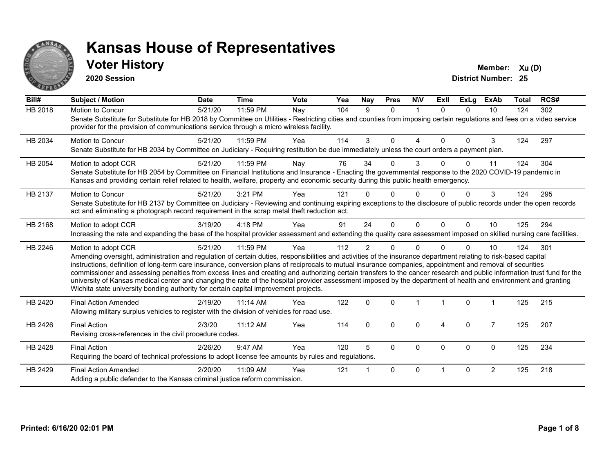

#### **Voter History Member:**  $Xu(D)$

**2020 Session**

| Bill#          | <b>Subject / Motion</b>                                                                                                                                                                                                                                                                                                                                                                                                                                                                                                                                                                                                                                                                                                                                                                  | <b>Date</b> | <b>Time</b> | <b>Vote</b> | Yea | Nay            | <b>Pres</b>  | <b>NIV</b>  | ExII     | <b>ExLg</b> | <b>ExAb</b>    | <b>Total</b> | RCS# |
|----------------|------------------------------------------------------------------------------------------------------------------------------------------------------------------------------------------------------------------------------------------------------------------------------------------------------------------------------------------------------------------------------------------------------------------------------------------------------------------------------------------------------------------------------------------------------------------------------------------------------------------------------------------------------------------------------------------------------------------------------------------------------------------------------------------|-------------|-------------|-------------|-----|----------------|--------------|-------------|----------|-------------|----------------|--------------|------|
| <b>HB 2018</b> | Motion to Concur<br>Senate Substitute for Substitute for HB 2018 by Committee on Utilities - Restricting cities and counties from imposing certain regulations and fees on a video service<br>provider for the provision of communications service through a micro wireless facility.                                                                                                                                                                                                                                                                                                                                                                                                                                                                                                    | 5/21/20     | 11:59 PM    | Nay         | 104 | 9              | $\mathbf{0}$ | $\mathbf 1$ | $\Omega$ | $\Omega$    | 10             | 124          | 302  |
| HB 2034        | <b>Motion to Concur</b><br>Senate Substitute for HB 2034 by Committee on Judiciary - Requiring restitution be due immediately unless the court orders a payment plan.                                                                                                                                                                                                                                                                                                                                                                                                                                                                                                                                                                                                                    | 5/21/20     | 11:59 PM    | Yea         | 114 | 3              | $\Omega$     | 4           | $\Omega$ | $\Omega$    | 3              | 124          | 297  |
| HB 2054        | Motion to adopt CCR<br>Senate Substitute for HB 2054 by Committee on Financial Institutions and Insurance - Enacting the governmental response to the 2020 COVID-19 pandemic in<br>Kansas and providing certain relief related to health, welfare, property and economic security during this public health emergency.                                                                                                                                                                                                                                                                                                                                                                                                                                                                   | 5/21/20     | 11:59 PM    | Nay         | 76  | 34             | 0            | 3           |          | 0           | 11             | 124          | 304  |
| HB 2137        | Motion to Concur<br>Senate Substitute for HB 2137 by Committee on Judiciary - Reviewing and continuing expiring exceptions to the disclosure of public records under the open records<br>act and eliminating a photograph record requirement in the scrap metal theft reduction act.                                                                                                                                                                                                                                                                                                                                                                                                                                                                                                     | 5/21/20     | 3:21 PM     | Yea         | 121 |                | 0            | O           |          | 0           | 3              | 124          | 295  |
| HB 2168        | Motion to adopt CCR<br>Increasing the rate and expanding the base of the hospital provider assessment and extending the quality care assessment imposed on skilled nursing care facilities.                                                                                                                                                                                                                                                                                                                                                                                                                                                                                                                                                                                              | 3/19/20     | 4:18 PM     | Yea         | 91  | 24             | $\Omega$     | $\Omega$    | $\Omega$ | $\Omega$    | 10             | 125          | 294  |
| HB 2246        | Motion to adopt CCR<br>Amending oversight, administration and regulation of certain duties, responsibilities and activities of the insurance department relating to risk-based capital<br>instructions, definition of long-term care insurance, conversion plans of reciprocals to mutual insurance companies, appointment and removal of securities<br>commissioner and assessing penalties from excess lines and creating and authorizing certain transfers to the cancer research and public information trust fund for the<br>university of Kansas medical center and changing the rate of the hospital provider assessment imposed by the department of health and environment and granting<br>Wichita state university bonding authority for certain capital improvement projects. | 5/21/20     | 11:59 PM    | Yea         | 112 | $\overline{2}$ | 0            | $\Omega$    |          | $\Omega$    | 10             | 124          | 301  |
| HB 2420        | <b>Final Action Amended</b><br>Allowing military surplus vehicles to register with the division of vehicles for road use.                                                                                                                                                                                                                                                                                                                                                                                                                                                                                                                                                                                                                                                                | 2/19/20     | $11:14$ AM  | Yea         | 122 | $\mathbf 0$    | $\Omega$     |             |          | $\mathbf 0$ |                | 125          | 215  |
| HB 2426        | <b>Final Action</b><br>Revising cross-references in the civil procedure codes.                                                                                                                                                                                                                                                                                                                                                                                                                                                                                                                                                                                                                                                                                                           | 2/3/20      | 11:12 AM    | Yea         | 114 | $\Omega$       | $\Omega$     | 0           | 4        | $\mathbf 0$ | $\overline{7}$ | 125          | 207  |
| HB 2428        | <b>Final Action</b><br>Requiring the board of technical professions to adopt license fee amounts by rules and regulations.                                                                                                                                                                                                                                                                                                                                                                                                                                                                                                                                                                                                                                                               | 2/26/20     | 9:47 AM     | Yea         | 120 | 5              | $\Omega$     | 0           | $\Omega$ | $\mathbf 0$ | $\mathbf 0$    | 125          | 234  |
| HB 2429        | <b>Final Action Amended</b><br>Adding a public defender to the Kansas criminal justice reform commission.                                                                                                                                                                                                                                                                                                                                                                                                                                                                                                                                                                                                                                                                                | 2/20/20     | 11:09 AM    | Yea         | 121 |                | $\Omega$     | $\Omega$    |          | $\Omega$    | $\overline{2}$ | 125          | 218  |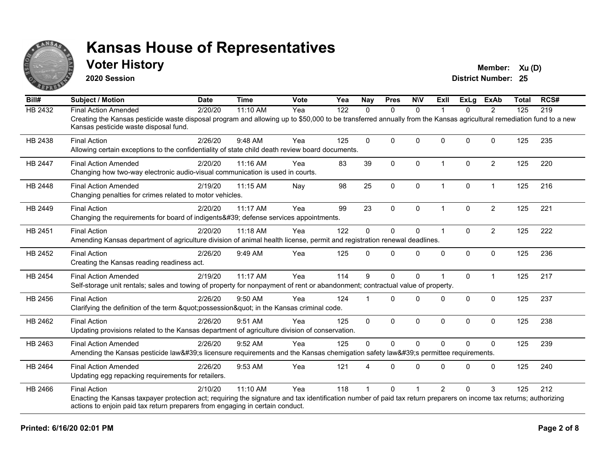

#### **Voter History Member:**  $Xu(D)$

**2020 Session**

| Bill#          | <b>Subject / Motion</b>                                                                                                                                                                                                                                                    | <b>Date</b> | <b>Time</b> | Vote | Yea | <b>Nay</b>   | <b>Pres</b>  | <b>NIV</b>   | ExII           | ExLa         | <b>ExAb</b>    | <b>Total</b> | RCS# |
|----------------|----------------------------------------------------------------------------------------------------------------------------------------------------------------------------------------------------------------------------------------------------------------------------|-------------|-------------|------|-----|--------------|--------------|--------------|----------------|--------------|----------------|--------------|------|
| <b>HB 2432</b> | <b>Final Action Amended</b>                                                                                                                                                                                                                                                | 2/20/20     | 11:10 AM    | Yea  | 122 | $\Omega$     | $\mathbf{0}$ | $\mathbf{0}$ |                | $\mathbf{0}$ | 2              | 125          | 219  |
|                | Creating the Kansas pesticide waste disposal program and allowing up to \$50,000 to be transferred annually from the Kansas agricultural remediation fund to a new<br>Kansas pesticide waste disposal fund.                                                                |             |             |      |     |              |              |              |                |              |                |              |      |
| HB 2438        | <b>Final Action</b><br>Allowing certain exceptions to the confidentiality of state child death review board documents.                                                                                                                                                     | 2/26/20     | 9:48 AM     | Yea  | 125 | $\Omega$     | 0            | $\mathbf{0}$ | $\Omega$       | $\mathbf{0}$ | $\Omega$       | 125          | 235  |
| <b>HB 2447</b> | <b>Final Action Amended</b><br>Changing how two-way electronic audio-visual communication is used in courts.                                                                                                                                                               | 2/20/20     | 11:16 AM    | Yea  | 83  | 39           | $\mathbf{0}$ | 0            | 1              | $\mathbf{0}$ | $\overline{2}$ | 125          | 220  |
| HB 2448        | <b>Final Action Amended</b><br>Changing penalties for crimes related to motor vehicles.                                                                                                                                                                                    | 2/19/20     | 11:15 AM    | Nay  | 98  | 25           | $\pmb{0}$    | 0            | $\overline{1}$ | $\pmb{0}$    | $\overline{1}$ | 125          | 216  |
| HB 2449        | <b>Final Action</b><br>Changing the requirements for board of indigents' defense services appointments.                                                                                                                                                                    | 2/20/20     | 11:17 AM    | Yea  | 99  | 23           | $\Omega$     | 0            |                | $\mathbf{0}$ | $\overline{2}$ | 125          | 221  |
| HB 2451        | <b>Final Action</b><br>Amending Kansas department of agriculture division of animal health license, permit and registration renewal deadlines.                                                                                                                             | 2/20/20     | 11:18 AM    | Yea  | 122 | 0            | $\mathbf{0}$ | 0            |                | $\mathbf{0}$ | $\overline{c}$ | 125          | 222  |
| HB 2452        | <b>Final Action</b><br>Creating the Kansas reading readiness act.                                                                                                                                                                                                          | 2/26/20     | 9:49 AM     | Yea  | 125 | $\Omega$     | 0            | 0            | $\Omega$       | $\mathbf 0$  | $\mathbf 0$    | 125          | 236  |
| HB 2454        | <b>Final Action Amended</b><br>Self-storage unit rentals; sales and towing of property for nonpayment of rent or abandonment; contractual value of property.                                                                                                               | 2/19/20     | 11:17 AM    | Yea  | 114 | 9            | $\mathbf{0}$ | $\mathbf{0}$ |                | $\Omega$     | $\overline{1}$ | 125          | 217  |
| HB 2456        | <b>Final Action</b><br>Clarifying the definition of the term "possession" in the Kansas criminal code.                                                                                                                                                                     | 2/26/20     | 9:50 AM     | Yea  | 124 |              | $\Omega$     | $\mathbf{0}$ | <sup>0</sup>   | $\mathbf{0}$ | $\Omega$       | 125          | 237  |
| HB 2462        | <b>Final Action</b><br>Updating provisions related to the Kansas department of agriculture division of conservation.                                                                                                                                                       | 2/26/20     | 9:51 AM     | Yea  | 125 | $\mathbf{0}$ | $\mathbf{0}$ | 0            | $\Omega$       | $\mathbf{0}$ | $\Omega$       | 125          | 238  |
| HB 2463        | <b>Final Action Amended</b><br>Amending the Kansas pesticide law's licensure requirements and the Kansas chemigation safety law's permittee requirements.                                                                                                                  | 2/26/20     | $9:52$ AM   | Yea  | 125 | $\Omega$     | $\Omega$     | $\Omega$     | $\Omega$       | $\Omega$     | $\Omega$       | 125          | 239  |
| HB 2464        | <b>Final Action Amended</b><br>Updating egg repacking requirements for retailers.                                                                                                                                                                                          | 2/26/20     | 9:53 AM     | Yea  | 121 | $\Delta$     | 0            | $\Omega$     | $\Omega$       | $\Omega$     | $\mathbf 0$    | 125          | 240  |
| HB 2466        | <b>Final Action</b><br>Enacting the Kansas taxpayer protection act; requiring the signature and tax identification number of paid tax return preparers on income tax returns; authorizing<br>actions to enjoin paid tax return preparers from engaging in certain conduct. | 2/10/20     | 11:10 AM    | Yea  | 118 |              | 0            |              | $\mathfrak{p}$ | $\Omega$     | 3              | 125          | 212  |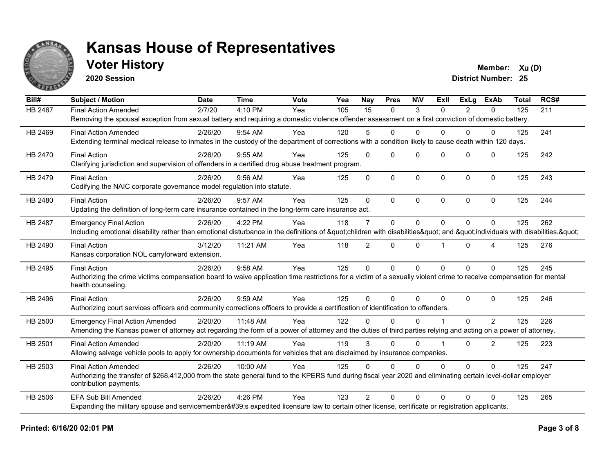

#### **Voter History Member:**  $Xu(D)$

**2020 Session**

| Bill#          | <b>Subject / Motion</b>                                                                                                                                                                 | <b>Date</b> | <b>Time</b> | Vote | Yea | Nay             | <b>Pres</b> | <b>NIV</b>   | ExII     | ExLa     | <b>ExAb</b>    | <b>Total</b> | RCS# |
|----------------|-----------------------------------------------------------------------------------------------------------------------------------------------------------------------------------------|-------------|-------------|------|-----|-----------------|-------------|--------------|----------|----------|----------------|--------------|------|
| <b>HB 2467</b> | <b>Final Action Amended</b>                                                                                                                                                             | 2/7/20      | 4:10 PM     | Yea  | 105 | $\overline{15}$ | $\Omega$    | 3            | $\Omega$ | 2        | $\Omega$       | 125          | 211  |
|                | Removing the spousal exception from sexual battery and requiring a domestic violence offender assessment on a first conviction of domestic battery.                                     |             |             |      |     |                 |             |              |          |          |                |              |      |
| HB 2469        | <b>Final Action Amended</b>                                                                                                                                                             | 2/26/20     | $9:54$ AM   | Yea  | 120 | 5               | $\Omega$    | $\mathbf{0}$ | 0        | $\Omega$ | $\Omega$       | 125          | 241  |
|                | Extending terminal medical release to inmates in the custody of the department of corrections with a condition likely to cause death within 120 days.                                   |             |             |      |     |                 |             |              |          |          |                |              |      |
| HB 2470        | <b>Final Action</b>                                                                                                                                                                     | 2/26/20     | $9:55$ AM   | Yea  | 125 | $\Omega$        | $\Omega$    | $\mathbf{0}$ | $\Omega$ | $\Omega$ | $\mathbf{0}$   | 125          | 242  |
|                | Clarifying jurisdiction and supervision of offenders in a certified drug abuse treatment program.                                                                                       |             |             |      |     |                 |             |              |          |          |                |              |      |
| HB 2479        | <b>Final Action</b>                                                                                                                                                                     | 2/26/20     | $9:56$ AM   | Yea  | 125 | $\Omega$        | $\Omega$    | $\mathbf{0}$ | $\Omega$ | $\Omega$ | $\mathbf{0}$   | 125          | 243  |
|                | Codifying the NAIC corporate governance model regulation into statute.                                                                                                                  |             |             |      |     |                 |             |              |          |          |                |              |      |
| HB 2480        | <b>Final Action</b>                                                                                                                                                                     | 2/26/20     | 9:57 AM     | Yea  | 125 | $\Omega$        | $\Omega$    | $\Omega$     | $\Omega$ | $\Omega$ | $\Omega$       | 125          | 244  |
|                | Updating the definition of long-term care insurance contained in the long-term care insurance act.                                                                                      |             |             |      |     |                 |             |              |          |          |                |              |      |
| HB 2487        | <b>Emergency Final Action</b>                                                                                                                                                           | 2/26/20     | 4:22 PM     | Yea  | 118 | $\overline{7}$  | $\Omega$    | $\mathbf{0}$ | $\Omega$ | $\Omega$ | 0              | 125          | 262  |
|                | Including emotional disability rather than emotional disturbance in the definitions of "children with disabilities" and "individuals with disabilities. "                               |             |             |      |     |                 |             |              |          |          |                |              |      |
| HB 2490        | <b>Final Action</b>                                                                                                                                                                     | 3/12/20     | 11:21 AM    | Yea  | 118 | $\overline{2}$  | $\Omega$    | $\mathbf{0}$ |          | $\Omega$ | 4              | 125          | 276  |
|                | Kansas corporation NOL carryforward extension.                                                                                                                                          |             |             |      |     |                 |             |              |          |          |                |              |      |
| HB 2495        | <b>Final Action</b>                                                                                                                                                                     | 2/26/20     | 9:58 AM     | Yea  | 125 | $\mathbf 0$     | $\mathbf 0$ | $\mathbf 0$  | $\Omega$ | $\Omega$ | $\Omega$       | 125          | 245  |
|                | Authorizing the crime victims compensation board to waive application time restrictions for a victim of a sexually violent crime to receive compensation for mental                     |             |             |      |     |                 |             |              |          |          |                |              |      |
|                | health counseling.                                                                                                                                                                      |             |             |      |     |                 |             |              |          |          |                |              |      |
| HB 2496        | <b>Final Action</b>                                                                                                                                                                     | 2/26/20     | 9:59 AM     | Yea  | 125 | $\Omega$        | $\Omega$    | $\Omega$     | $\Omega$ | $\Omega$ | $\mathbf{0}$   | 125          | 246  |
|                | Authorizing court services officers and community corrections officers to provide a certification of identification to offenders.                                                       |             |             |      |     |                 |             |              |          |          |                |              |      |
| HB 2500        | <b>Emergency Final Action Amended</b>                                                                                                                                                   | 2/20/20     | 11:48 AM    | Yea  | 122 | U               | $\Omega$    | $\Omega$     |          | $\Omega$ | $\overline{2}$ | 125          | 226  |
|                | Amending the Kansas power of attorney act regarding the form of a power of attorney and the duties of third parties relying and acting on a power of attorney.                          |             |             |      |     |                 |             |              |          |          |                |              |      |
| HB 2501        | <b>Final Action Amended</b>                                                                                                                                                             | 2/20/20     | 11:19 AM    | Yea  | 119 | 3               | $\Omega$    | $\Omega$     |          | $\Omega$ | $\overline{2}$ | 125          | 223  |
|                | Allowing salvage vehicle pools to apply for ownership documents for vehicles that are disclaimed by insurance companies.                                                                |             |             |      |     |                 |             |              |          |          |                |              |      |
| HB 2503        | <b>Final Action Amended</b>                                                                                                                                                             | 2/26/20     | 10:00 AM    | Yea  | 125 | $\Omega$        | $\Omega$    | $\Omega$     | $\Omega$ | $\Omega$ | $\Omega$       | 125          | 247  |
|                | Authorizing the transfer of \$268,412,000 from the state general fund to the KPERS fund during fiscal year 2020 and eliminating certain level-dollar employer<br>contribution payments. |             |             |      |     |                 |             |              |          |          |                |              |      |
| HB 2506        | <b>EFA Sub Bill Amended</b>                                                                                                                                                             | 2/26/20     | $4:26$ PM   | Yea  | 123 | $\mathcal{P}$   | $\Omega$    | $\Omega$     | $\Omega$ | $\Omega$ | $\Omega$       | 125          | 265  |
|                | Expanding the military spouse and servicemember's expedited licensure law to certain other license, certificate or registration applicants.                                             |             |             |      |     |                 |             |              |          |          |                |              |      |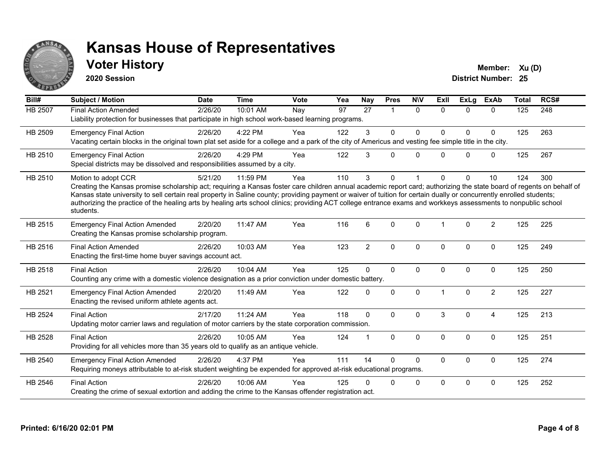

#### **Voter History Member:**  $Xu(D)$

**2020 Session**

| Bill#          | <b>Subject / Motion</b>                                                                                                                                                                                                                                                                                                                                                                                                                                                                                                                             | <b>Date</b> | <b>Time</b> | <b>Vote</b> | Yea | <b>Nay</b>      | <b>Pres</b>    | <b>NIV</b>   | ExII           | <b>ExLg</b>  | <b>ExAb</b>    | <b>Total</b> | RCS# |
|----------------|-----------------------------------------------------------------------------------------------------------------------------------------------------------------------------------------------------------------------------------------------------------------------------------------------------------------------------------------------------------------------------------------------------------------------------------------------------------------------------------------------------------------------------------------------------|-------------|-------------|-------------|-----|-----------------|----------------|--------------|----------------|--------------|----------------|--------------|------|
| <b>HB 2507</b> | <b>Final Action Amended</b><br>Liability protection for businesses that participate in high school work-based learning programs.                                                                                                                                                                                                                                                                                                                                                                                                                    | 2/26/20     | 10:01 AM    | Nay         | 97  | $\overline{27}$ | $\overline{1}$ | $\Omega$     | $\Omega$       | $\Omega$     | $\Omega$       | 125          | 248  |
| HB 2509        | <b>Emergency Final Action</b><br>Vacating certain blocks in the original town plat set aside for a college and a park of the city of Americus and vesting fee simple title in the city.                                                                                                                                                                                                                                                                                                                                                             | 2/26/20     | 4:22 PM     | Yea         | 122 | 3               | $\Omega$       | $\Omega$     | <sup>0</sup>   | $\Omega$     | $\Omega$       | 125          | 263  |
| HB 2510        | <b>Emergency Final Action</b><br>Special districts may be dissolved and responsibilities assumed by a city.                                                                                                                                                                                                                                                                                                                                                                                                                                         | 2/26/20     | 4:29 PM     | Yea         | 122 | 3               | $\Omega$       | $\mathbf{0}$ | $\Omega$       | $\Omega$     | $\mathbf 0$    | 125          | 267  |
| HB 2510        | Motion to adopt CCR<br>Creating the Kansas promise scholarship act; requiring a Kansas foster care children annual academic report card; authorizing the state board of regents on behalf of<br>Kansas state university to sell certain real property in Saline county; providing payment or waiver of tuition for certain dually or concurrently enrolled students;<br>authorizing the practice of the healing arts by healing arts school clinics; providing ACT college entrance exams and workkeys assessments to nonpublic school<br>students. | 5/21/20     | 11:59 PM    | Yea         | 110 | 3               | $\mathbf{0}$   |              | <sup>0</sup>   | $\Omega$     | 10             | 124          | 300  |
| HB 2515        | <b>Emergency Final Action Amended</b><br>Creating the Kansas promise scholarship program.                                                                                                                                                                                                                                                                                                                                                                                                                                                           | 2/20/20     | 11:47 AM    | Yea         | 116 | 6               | $\Omega$       | $\Omega$     | $\overline{1}$ | $\Omega$     | $\overline{2}$ | 125          | 225  |
| HB 2516        | <b>Final Action Amended</b><br>Enacting the first-time home buyer savings account act.                                                                                                                                                                                                                                                                                                                                                                                                                                                              | 2/26/20     | 10:03 AM    | Yea         | 123 | $\overline{2}$  | $\mathbf{0}$   | $\Omega$     | $\Omega$       | $\Omega$     | $\mathbf 0$    | 125          | 249  |
| HB 2518        | <b>Final Action</b><br>Counting any crime with a domestic violence designation as a prior conviction under domestic battery.                                                                                                                                                                                                                                                                                                                                                                                                                        | 2/26/20     | 10:04 AM    | Yea         | 125 | $\Omega$        | $\mathbf{0}$   | $\mathbf{0}$ | $\Omega$       | $\Omega$     | $\Omega$       | 125          | 250  |
| HB 2521        | <b>Emergency Final Action Amended</b><br>Enacting the revised uniform athlete agents act.                                                                                                                                                                                                                                                                                                                                                                                                                                                           | 2/20/20     | 11:49 AM    | Yea         | 122 | $\Omega$        | $\mathbf 0$    | 0            |                | $\mathbf 0$  | $\overline{2}$ | 125          | 227  |
| HB 2524        | <b>Final Action</b><br>Updating motor carrier laws and regulation of motor carriers by the state corporation commission.                                                                                                                                                                                                                                                                                                                                                                                                                            | 2/17/20     | 11:24 AM    | Yea         | 118 | $\Omega$        | $\Omega$       | $\Omega$     | 3              | $\Omega$     | $\overline{4}$ | 125          | 213  |
| HB 2528        | <b>Final Action</b><br>Providing for all vehicles more than 35 years old to qualify as an antique vehicle.                                                                                                                                                                                                                                                                                                                                                                                                                                          | 2/26/20     | 10:05 AM    | Yea         | 124 |                 | $\mathbf{0}$   | $\Omega$     | $\Omega$       | $\Omega$     | $\mathbf{0}$   | 125          | 251  |
| HB 2540        | <b>Emergency Final Action Amended</b><br>Requiring moneys attributable to at-risk student weighting be expended for approved at-risk educational programs.                                                                                                                                                                                                                                                                                                                                                                                          | 2/26/20     | 4:37 PM     | Yea         | 111 | 14              | $\Omega$       | 0            | $\Omega$       | 0            | $\mathbf 0$    | 125          | 274  |
| HB 2546        | <b>Final Action</b><br>Creating the crime of sexual extortion and adding the crime to the Kansas offender registration act.                                                                                                                                                                                                                                                                                                                                                                                                                         | 2/26/20     | 10:06 AM    | Yea         | 125 | n               | $\Omega$       | 0            | $\Omega$       | $\mathbf{0}$ | $\mathbf 0$    | 125          | 252  |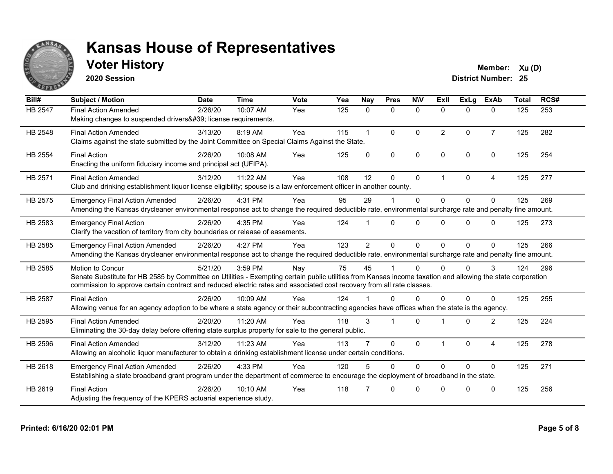

### **Voter History Member:**  $Xu(D)$

**2020 Session**

| Bill#          | <b>Subject / Motion</b>                                                                                                                                                                                                                                                                                  | <b>Date</b> | <b>Time</b> | Vote | Yea | Nay            | <b>Pres</b>          | <b>NIV</b>   | ExII                    | ExLa     | <b>ExAb</b>    | <b>Total</b> | RCS# |
|----------------|----------------------------------------------------------------------------------------------------------------------------------------------------------------------------------------------------------------------------------------------------------------------------------------------------------|-------------|-------------|------|-----|----------------|----------------------|--------------|-------------------------|----------|----------------|--------------|------|
| HB 2547        | <b>Final Action Amended</b><br>Making changes to suspended drivers' license requirements.                                                                                                                                                                                                                | 2/26/20     | 10:07 AM    | Yea  | 125 | $\Omega$       | $\mathbf{0}$         | 0            | $\Omega$                | 0        | $\mathbf{0}$   | 125          | 253  |
| HB 2548        | <b>Final Action Amended</b><br>Claims against the state submitted by the Joint Committee on Special Claims Against the State.                                                                                                                                                                            | 3/13/20     | 8:19 AM     | Yea  | 115 | 1              | $\Omega$             | $\Omega$     | 2                       | $\Omega$ | $\overline{7}$ | 125          | 282  |
| <b>HB 2554</b> | <b>Final Action</b><br>Enacting the uniform fiduciary income and principal act (UFIPA).                                                                                                                                                                                                                  | 2/26/20     | 10:08 AM    | Yea  | 125 | $\Omega$       | $\Omega$             | $\mathbf{0}$ | $\Omega$                | $\Omega$ | $\Omega$       | 125          | 254  |
| HB 2571        | <b>Final Action Amended</b><br>Club and drinking establishment liquor license eligibility; spouse is a law enforcement officer in another county.                                                                                                                                                        | 3/12/20     | 11:22 AM    | Yea  | 108 | 12             | $\Omega$             | $\mathbf{0}$ | $\overline{1}$          | $\Omega$ | 4              | 125          | 277  |
| HB 2575        | <b>Emergency Final Action Amended</b><br>Amending the Kansas drycleaner environmental response act to change the required deductible rate, environmental surcharge rate and penalty fine amount.                                                                                                         | 2/26/20     | 4:31 PM     | Yea  | 95  | 29             |                      | $\Omega$     | $\Omega$                | $\Omega$ | $\Omega$       | 125          | 269  |
| HB 2583        | <b>Emergency Final Action</b><br>Clarify the vacation of territory from city boundaries or release of easements.                                                                                                                                                                                         | 2/26/20     | 4:35 PM     | Yea  | 124 |                | $\Omega$             | $\Omega$     | $\Omega$                | 0        | $\Omega$       | 125          | 273  |
| HB 2585        | <b>Emergency Final Action Amended</b><br>Amending the Kansas drycleaner environmental response act to change the required deductible rate, environmental surcharge rate and penalty fine amount.                                                                                                         | 2/26/20     | 4:27 PM     | Yea  | 123 | $\overline{2}$ | $\Omega$             | $\Omega$     | $\Omega$                | 0        | $\Omega$       | 125          | 266  |
| HB 2585        | Motion to Concur<br>Senate Substitute for HB 2585 by Committee on Utilities - Exempting certain public utilities from Kansas income taxation and allowing the state corporation<br>commission to approve certain contract and reduced electric rates and associated cost recovery from all rate classes. | 5/21/20     | 3:59 PM     | Nay  | 75  | 45             |                      | $\Omega$     | U                       | 0        | 3              | 124          | 296  |
| <b>HB 2587</b> | <b>Final Action</b><br>Allowing venue for an agency adoption to be where a state agency or their subcontracting agencies have offices when the state is the agency.                                                                                                                                      | 2/26/20     | 10:09 AM    | Yea  | 124 |                | $\Omega$             | $\Omega$     | U                       | 0        | 0              | 125          | 255  |
| <b>HB 2595</b> | <b>Final Action Amended</b><br>Eliminating the 30-day delay before offering state surplus property for sale to the general public.                                                                                                                                                                       | 2/20/20     | 11:20 AM    | Yea  | 118 | 3              | $\blacktriangleleft$ | $\Omega$     |                         | $\Omega$ | $\overline{2}$ | 125          | 224  |
| HB 2596        | <b>Final Action Amended</b><br>Allowing an alcoholic liquor manufacturer to obtain a drinking establishment license under certain conditions.                                                                                                                                                            | 3/12/20     | 11:23 AM    | Yea  | 113 |                | $\Omega$             | $\Omega$     | $\overline{\mathbf{1}}$ | $\Omega$ | $\overline{4}$ | 125          | 278  |
| HB 2618        | <b>Emergency Final Action Amended</b><br>Establishing a state broadband grant program under the department of commerce to encourage the deployment of broadband in the state.                                                                                                                            | 2/26/20     | 4:33 PM     | Yea  | 120 |                | $\Omega$             | $\Omega$     | $\Omega$                | 0        | 0              | 125          | 271  |
| HB 2619        | <b>Final Action</b><br>Adjusting the frequency of the KPERS actuarial experience study.                                                                                                                                                                                                                  | 2/26/20     | 10:10 AM    | Yea  | 118 |                | $\Omega$             | $\Omega$     | $\Omega$                | $\Omega$ | $\Omega$       | 125          | 256  |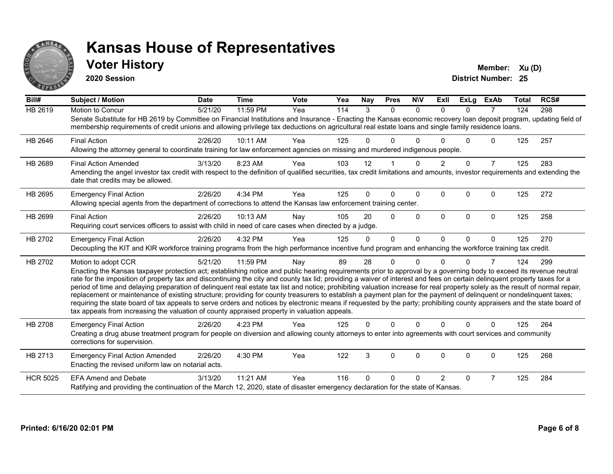

#### **Voter History Member:**  $Xu(D)$

**2020 Session**

| Bill#           | <b>Subject / Motion</b>                                                                                                                                                                                                                                                                                                                                                                                                                                                                                                                                                                                                                                                                                                                                                                                                                                                                                                                                                                                       | <b>Date</b> | <b>Time</b> | <b>Vote</b> | Yea | <b>Nay</b> | <b>Pres</b> | <b>NIV</b> | <b>ExII</b>    | <b>ExLg</b> | <b>ExAb</b>    | <b>Total</b> | RCS# |
|-----------------|---------------------------------------------------------------------------------------------------------------------------------------------------------------------------------------------------------------------------------------------------------------------------------------------------------------------------------------------------------------------------------------------------------------------------------------------------------------------------------------------------------------------------------------------------------------------------------------------------------------------------------------------------------------------------------------------------------------------------------------------------------------------------------------------------------------------------------------------------------------------------------------------------------------------------------------------------------------------------------------------------------------|-------------|-------------|-------------|-----|------------|-------------|------------|----------------|-------------|----------------|--------------|------|
| <b>HB 2619</b>  | <b>Motion to Concur</b><br>Senate Substitute for HB 2619 by Committee on Financial Institutions and Insurance - Enacting the Kansas economic recovery loan deposit program, updating field of<br>membership requirements of credit unions and allowing privilege tax deductions on agricultural real estate loans and single family residence loans.                                                                                                                                                                                                                                                                                                                                                                                                                                                                                                                                                                                                                                                          | 5/21/20     | 11:59 PM    | Yea         | 114 | 3          | $\Omega$    | $\Omega$   | $\Omega$       | $\Omega$    | $\overline{7}$ | 124          | 298  |
| HB 2646         | <b>Final Action</b><br>Allowing the attorney general to coordinate training for law enforcement agencies on missing and murdered indigenous people.                                                                                                                                                                                                                                                                                                                                                                                                                                                                                                                                                                                                                                                                                                                                                                                                                                                           | 2/26/20     | 10:11 AM    | Yea         | 125 | 0          | 0           | ∩          |                | U           | 0              | 125          | 257  |
| HB 2689         | <b>Final Action Amended</b><br>Amending the angel investor tax credit with respect to the definition of qualified securities, tax credit limitations and amounts, investor requirements and extending the<br>date that credits may be allowed.                                                                                                                                                                                                                                                                                                                                                                                                                                                                                                                                                                                                                                                                                                                                                                | 3/13/20     | 8:23 AM     | Yea         | 103 | 12         |             | $\Omega$   | $\overline{2}$ | $\Omega$    | $\overline{7}$ | 125          | 283  |
| HB 2695         | <b>Emergency Final Action</b><br>Allowing special agents from the department of corrections to attend the Kansas law enforcement training center.                                                                                                                                                                                                                                                                                                                                                                                                                                                                                                                                                                                                                                                                                                                                                                                                                                                             | 2/26/20     | 4:34 PM     | Yea         | 125 | 0          | $\Omega$    | $\Omega$   | $\Omega$       | $\Omega$    | $\Omega$       | 125          | 272  |
| HB 2699         | <b>Final Action</b><br>Requiring court services officers to assist with child in need of care cases when directed by a judge.                                                                                                                                                                                                                                                                                                                                                                                                                                                                                                                                                                                                                                                                                                                                                                                                                                                                                 | 2/26/20     | 10:13 AM    | Nay         | 105 | 20         | $\Omega$    | $\Omega$   | $\Omega$       | $\Omega$    | $\Omega$       | 125          | 258  |
| HB 2702         | <b>Emergency Final Action</b><br>Decoupling the KIT and KIR workforce training programs from the high performance incentive fund program and enhancing the workforce training tax credit.                                                                                                                                                                                                                                                                                                                                                                                                                                                                                                                                                                                                                                                                                                                                                                                                                     | 2/26/20     | 4:32 PM     | Yea         | 125 | $\Omega$   | $\Omega$    | $\Omega$   | $\Omega$       | $\Omega$    | $\mathbf{0}$   | 125          | 270  |
| HB 2702         | Motion to adopt CCR<br>Enacting the Kansas taxpayer protection act; establishing notice and public hearing requirements prior to approval by a governing body to exceed its revenue neutral<br>rate for the imposition of property tax and discontinuing the city and county tax lid; providing a waiver of interest and fees on certain delinquent property taxes for a<br>period of time and delaying preparation of delinquent real estate tax list and notice; prohibiting valuation increase for real property solely as the result of normal repair,<br>replacement or maintenance of existing structure; providing for county treasurers to establish a payment plan for the payment of delinquent or nondelinquent taxes;<br>requiring the state board of tax appeals to serve orders and notices by electronic means if requested by the party; prohibiting county appraisers and the state board of<br>tax appeals from increasing the valuation of county appraised property in valuation appeals. | 5/21/20     | 11:59 PM    | Nay         | 89  | 28         | 0           | $\Omega$   | U              | 0           | 7              | 124          | 299  |
| HB 2708         | <b>Emergency Final Action</b><br>Creating a drug abuse treatment program for people on diversion and allowing county attorneys to enter into agreements with court services and community<br>corrections for supervision.                                                                                                                                                                                                                                                                                                                                                                                                                                                                                                                                                                                                                                                                                                                                                                                     | 2/26/20     | 4:23 PM     | Yea         | 125 | 0          | $\Omega$    | $\Omega$   | $\Omega$       | $\Omega$    | $\Omega$       | 125          | 264  |
| HB 2713         | <b>Emergency Final Action Amended</b><br>Enacting the revised uniform law on notarial acts.                                                                                                                                                                                                                                                                                                                                                                                                                                                                                                                                                                                                                                                                                                                                                                                                                                                                                                                   | 2/26/20     | 4:30 PM     | Yea         | 122 | 3          | 0           | 0          | $\Omega$       | 0           | 0              | 125          | 268  |
| <b>HCR 5025</b> | <b>EFA Amend and Debate</b><br>Ratifying and providing the continuation of the March 12, 2020, state of disaster emergency declaration for the state of Kansas.                                                                                                                                                                                                                                                                                                                                                                                                                                                                                                                                                                                                                                                                                                                                                                                                                                               | 3/13/20     | 11:21 AM    | Yea         | 116 | U          | 0           | ∩          | $\overline{2}$ | $\Omega$    | $\overline{7}$ | 125          | 284  |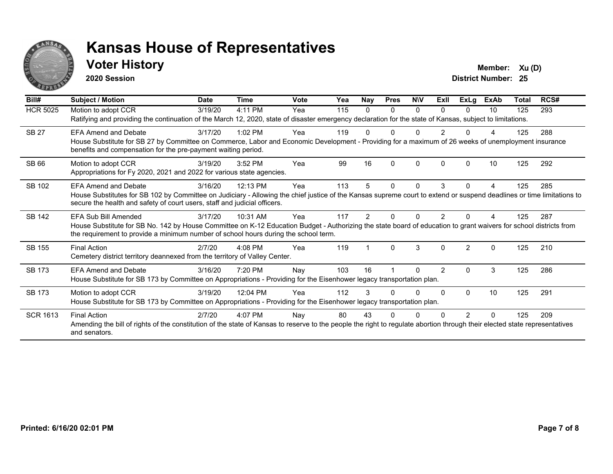

#### **Voter History Member:**  $Xu(D)$

**2020 Session**

| Bill#           | Subject / Motion                                                                                                                                                                                                                                                                  | <b>Date</b> | <b>Time</b> | Vote | Yea | Nay           | <b>Pres</b>  | <b>NIV</b>   | ExII           | <b>ExLg</b>   | <b>ExAb</b> | <b>Total</b> | RCS# |
|-----------------|-----------------------------------------------------------------------------------------------------------------------------------------------------------------------------------------------------------------------------------------------------------------------------------|-------------|-------------|------|-----|---------------|--------------|--------------|----------------|---------------|-------------|--------------|------|
| <b>HCR 5025</b> | Motion to adopt CCR<br>Ratifying and providing the continuation of the March 12, 2020, state of disaster emergency declaration for the state of Kansas, subject to limitations.                                                                                                   | 3/19/20     | 4:11 PM     | Yea  | 115 | 0             | $\Omega$     | 0            | <sup>n</sup>   | 0             | 10          | 125          | 293  |
| <b>SB 27</b>    | <b>EFA Amend and Debate</b><br>House Substitute for SB 27 by Committee on Commerce, Labor and Economic Development - Providing for a maximum of 26 weeks of unemployment insurance<br>benefits and compensation for the pre-payment waiting period.                               | 3/17/20     | 1:02 PM     | Yea  | 119 |               |              |              |                |               |             | 125          | 288  |
| <b>SB 66</b>    | Motion to adopt CCR<br>Appropriations for Fy 2020, 2021 and 2022 for various state agencies.                                                                                                                                                                                      | 3/19/20     | 3:52 PM     | Yea  | 99  | 16            | $\Omega$     | $\mathbf{0}$ |                | $\Omega$      | 10          | 125          | 292  |
| SB 102          | <b>EFA Amend and Debate</b><br>House Substitutes for SB 102 by Committee on Judiciary - Allowing the chief justice of the Kansas supreme court to extend or suspend deadlines or time limitations to<br>secure the health and safety of court users, staff and judicial officers. | 3/16/20     | 12:13 PM    | Yea  | 113 | 5             | $\mathbf{0}$ | 0            | 3              | 0             | 4           | 125          | 285  |
| <b>SB 142</b>   | EFA Sub Bill Amended<br>House Substitute for SB No. 142 by House Committee on K-12 Education Budget - Authorizing the state board of education to grant waivers for school districts from<br>the requirement to provide a minimum number of school hours during the school term.  | 3/17/20     | 10:31 AM    | Yea  | 117 | $\mathcal{P}$ | ŋ            | U            | 2              |               |             | 125          | 287  |
| SB 155          | <b>Final Action</b><br>Cemetery district territory deannexed from the territory of Valley Center.                                                                                                                                                                                 | 2/7/20      | $4:08$ PM   | Yea  | 119 |               | $\Omega$     | 3            | <sup>0</sup>   | $\mathcal{P}$ | $\Omega$    | 125          | 210  |
| SB 173          | <b>EFA Amend and Debate</b><br>House Substitute for SB 173 by Committee on Appropriations - Providing for the Eisenhower legacy transportation plan.                                                                                                                              | 3/16/20     | 7:20 PM     | Nay  | 103 | 16            |              | $\Omega$     | $\overline{2}$ | $\Omega$      | 3           | 125          | 286  |
| <b>SB 173</b>   | Motion to adopt CCR<br>House Substitute for SB 173 by Committee on Appropriations - Providing for the Eisenhower legacy transportation plan.                                                                                                                                      | 3/19/20     | 12:04 PM    | Yea  | 112 | 3             | <sup>0</sup> | 0            | <sup>0</sup>   | $\Omega$      | 10          | 125          | 291  |
| <b>SCR 1613</b> | <b>Final Action</b><br>Amending the bill of rights of the constitution of the state of Kansas to reserve to the people the right to regulate abortion through their elected state representatives<br>and senators.                                                                | 2/7/20      | 4:07 PM     | Nay  | 80  | 43            |              |              |                | 2             | 0           | 125          | 209  |